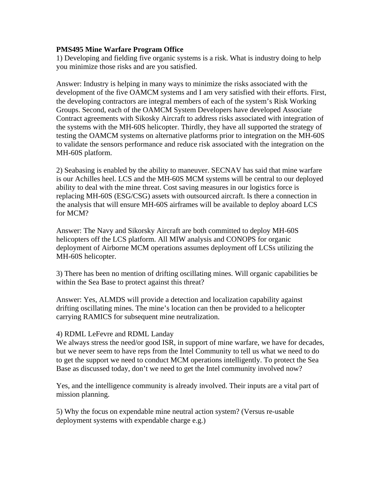## **PMS495 Mine Warfare Program Office**

1) Developing and fielding five organic systems is a risk. What is industry doing to help you minimize those risks and are you satisfied.

Answer: Industry is helping in many ways to minimize the risks associated with the development of the five OAMCM systems and I am very satisfied with their efforts. First, the developing contractors are integral members of each of the system's Risk Working Groups. Second, each of the OAMCM System Developers have developed Associate Contract agreements with Sikosky Aircraft to address risks associated with integration of the systems with the MH-60S helicopter. Thirdly, they have all supported the strategy of testing the OAMCM systems on alternative platforms prior to integration on the MH-60S to validate the sensors performance and reduce risk associated with the integration on the MH-60S platform.

2) Seabasing is enabled by the ability to maneuver. SECNAV has said that mine warfare is our Achilles heel. LCS and the MH-60S MCM systems will be central to our deployed ability to deal with the mine threat. Cost saving measures in our logistics force is replacing MH-60S (ESG/CSG) assets with outsourced aircraft. Is there a connection in the analysis that will ensure MH-60S airframes will be available to deploy aboard LCS for MCM?

Answer: The Navy and Sikorsky Aircraft are both committed to deploy MH-60S helicopters off the LCS platform. All MIW analysis and CONOPS for organic deployment of Airborne MCM operations assumes deployment off LCSs utilizing the MH-60S helicopter.

3) There has been no mention of drifting oscillating mines. Will organic capabilities be within the Sea Base to protect against this threat?

Answer: Yes, ALMDS will provide a detection and localization capability against drifting oscillating mines. The mine's location can then be provided to a helicopter carrying RAMICS for subsequent mine neutralization.

## 4) RDML LeFevre and RDML Landay

We always stress the need/or good ISR, in support of mine warfare, we have for decades, but we never seem to have reps from the Intel Community to tell us what we need to do to get the support we need to conduct MCM operations intelligently. To protect the Sea Base as discussed today, don't we need to get the Intel community involved now?

Yes, and the intelligence community is already involved. Their inputs are a vital part of mission planning.

5) Why the focus on expendable mine neutral action system? (Versus re-usable deployment systems with expendable charge e.g.)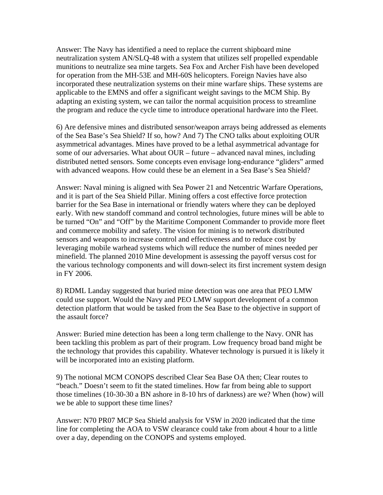Answer: The Navy has identified a need to replace the current shipboard mine neutralization system AN/SLQ-48 with a system that utilizes self propelled expendable munitions to neutralize sea mine targets. Sea Fox and Archer Fish have been developed for operation from the MH-53E and MH-60S helicopters. Foreign Navies have also incorporated these neutralization systems on their mine warfare ships. These systems are applicable to the EMNS and offer a significant weight savings to the MCM Ship. By adapting an existing system, we can tailor the normal acquisition process to streamline the program and reduce the cycle time to introduce operational hardware into the Fleet.

6) Are defensive mines and distributed sensor/weapon arrays being addressed as elements of the Sea Base's Sea Shield? If so, how? And 7) The CNO talks about exploiting OUR asymmetrical advantages. Mines have proved to be a lethal asymmetrical advantage for some of our adversaries. What about OUR – future – advanced naval mines, including distributed netted sensors. Some concepts even envisage long-endurance "gliders" armed with advanced weapons. How could these be an element in a Sea Base's Sea Shield?

Answer: Naval mining is aligned with Sea Power 21 and Netcentric Warfare Operations, and it is part of the Sea Shield Pillar. Mining offers a cost effective force protection barrier for the Sea Base in international or friendly waters where they can be deployed early. With new standoff command and control technologies, future mines will be able to be turned "On" and "Off" by the Maritime Component Commander to provide more fleet and commerce mobility and safety. The vision for mining is to network distributed sensors and weapons to increase control and effectiveness and to reduce cost by leveraging mobile warhead systems which will reduce the number of mines needed per minefield. The planned 2010 Mine development is assessing the payoff versus cost for the various technology components and will down-select its first increment system design in FY 2006.

8) RDML Landay suggested that buried mine detection was one area that PEO LMW could use support. Would the Navy and PEO LMW support development of a common detection platform that would be tasked from the Sea Base to the objective in support of the assault force?

Answer: Buried mine detection has been a long term challenge to the Navy. ONR has been tackling this problem as part of their program. Low frequency broad band might be the technology that provides this capability. Whatever technology is pursued it is likely it will be incorporated into an existing platform.

9) The notional MCM CONOPS described Clear Sea Base OA then; Clear routes to "beach." Doesn't seem to fit the stated timelines. How far from being able to support those timelines (10-30-30 a BN ashore in 8-10 hrs of darkness) are we? When (how) will we be able to support these time lines?

Answer: N70 PR07 MCP Sea Shield analysis for VSW in 2020 indicated that the time line for completing the AOA to VSW clearance could take from about 4 hour to a little over a day, depending on the CONOPS and systems employed.